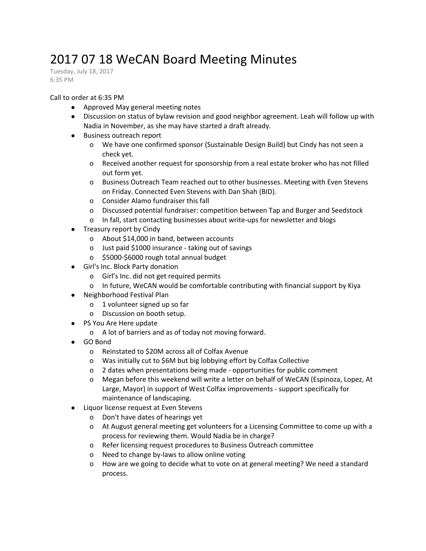## 2017 07 18 WeCAN Board Meeting Minutes

Tuesday, July 18, 2017 6:35 PM

## Call to order at 6:35 PM

- Approved May general meeting notes
- Discussion on status of bylaw revision and good neighbor agreement. Leah will follow up with Nadia in November, as she may have started a draft already.
- Business outreach report
	- o We have one confirmed sponsor (Sustainable Design Build) but Cindy has not seen a check yet.
	- o Received another request for sponsorship from a real estate broker who has not filled out form yet.
	- o Business Outreach Team reached out to other businesses. Meeting with Even Stevens on Friday. Connected Even Stevens with Dan Shah (BID).
	- o Consider Alamo fundraiser this fall
	- o Discussed potential fundraiser: competition between Tap and Burger and Seedstock
	- o In fall, start contacting businesses about write-ups for newsletter and blogs
- Treasury report by Cindy
	- o About \$14,000 in band, between accounts
	- o Just paid \$1000 insurance taking out of savings
	- o \$5000-\$6000 rough total annual budget
- Girl's Inc. Block Party donation
	- o Girl's Inc. did not get required permits
	- o In future, WeCAN would be comfortable contributing with financial support by Kiya
- Neighborhood Festival Plan
	- o 1 volunteer signed up so far
	- o Discussion on booth setup.
- PS You Are Here update
	- o A lot of barriers and as of today not moving forward.
- GO Bond
	- o Reinstated to \$20M across all of Colfax Avenue
	- o Was initially cut to \$6M but big lobbying effort by Colfax Collective
	- o 2 dates when presentations being made opportunities for public comment
	- o Megan before this weekend will write a letter on behalf of WeCAN (Espinoza, Lopez, At Large, Mayor) in support of West Colfax improvements - support specifically for maintenance of landscaping.
- Liquor license request at Even Stevens
	- o Don't have dates of hearings yet
	- o At August general meeting get volunteers for a Licensing Committee to come up with a process for reviewing them. Would Nadia be in charge?
	- o Refer licensing request procedures to Business Outreach committee
	- o Need to change by-laws to allow online voting
	- o How are we going to decide what to vote on at general meeting? We need a standard process.